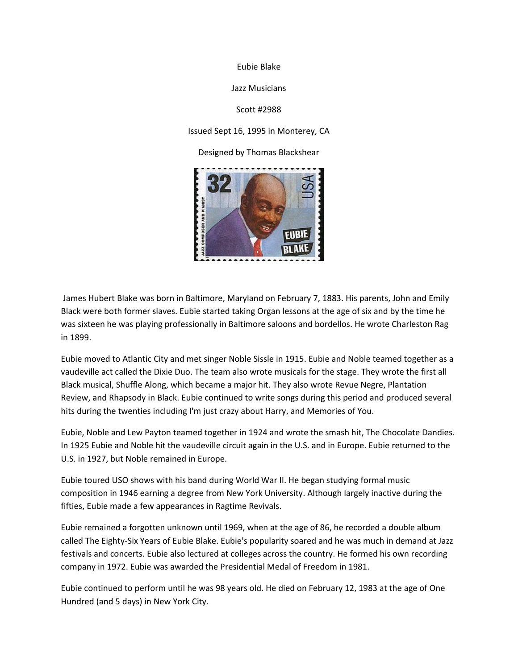

Jazz Musicians

Scott #2988

Issued Sept 16, 1995 in Monterey, CA

Designed by Thomas Blackshear



James Hubert Blake was born in Baltimore, Maryland on February 7, 1883. His parents, John and Emily Black were both former slaves. Eubie started taking Organ lessons at the age of six and by the time he was sixteen he was playing professionally in Baltimore saloons and bordellos. He wrote Charleston Rag in 1899.

Eubie moved to Atlantic City and met singer Noble Sissle in 1915. Eubie and Noble teamed together as a vaudeville act called the Dixie Duo. The team also wrote musicals for the stage. They wrote the first all Black musical, Shuffle Along, which became a major hit. They also wrote Revue Negre, Plantation Review, and Rhapsody in Black. Eubie continued to write songs during this period and produced several hits during the twenties including I'm just crazy about Harry, and Memories of You.

Eubie, Noble and Lew Payton teamed together in 1924 and wrote the smash hit, The Chocolate Dandies. In 1925 Eubie and Noble hit the vaudeville circuit again in the U.S. and in Europe. Eubie returned to the U.S. in 1927, but Noble remained in Europe.

Eubie toured USO shows with his band during World War II. He began studying formal music composition in 1946 earning a degree from New York University. Although largely inactive during the fifties, Eubie made a few appearances in Ragtime Revivals.

Eubie remained a forgotten unknown until 1969, when at the age of 86, he recorded a double album called The Eighty-Six Years of Eubie Blake. Eubie's popularity soared and he was much in demand at Jazz festivals and concerts. Eubie also lectured at colleges across the country. He formed his own recording company in 1972. Eubie was awarded the Presidential Medal of Freedom in 1981.

Eubie continued to perform until he was 98 years old. He died on February 12, 1983 at the age of One Hundred (and 5 days) in New York City.